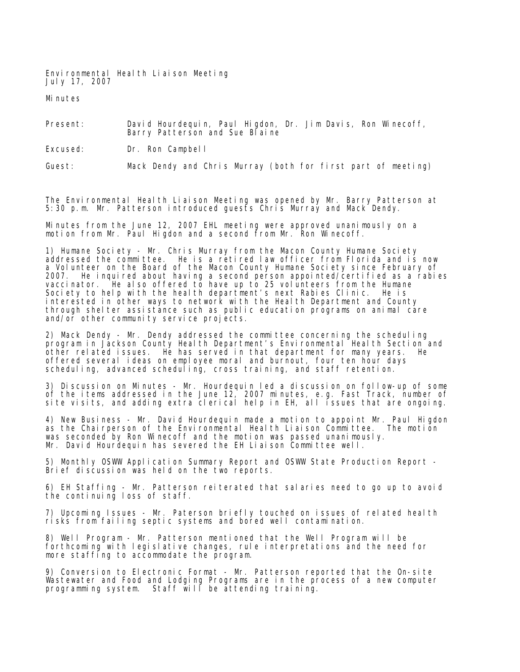Environmental Health Liaison Meeting July 17, 2007

Minutes

Present: David Hourdequin, Paul Higdon, Dr. Jim Davis, Ron Winecoff, Barry Patterson and Sue Blaine

Excused: Dr. Ron Campbell

Guest: Mack Dendy and Chris Murray (both for first part of meeting)

The Environmental Health Liaison Meeting was opened by Mr. Barry Patterson at 5:30 p.m. Mr. Patterson introduced guests Chris Murray and Mack Dendy.

Minutes from the June 12, 2007 EHL meeting were approved unanimously on a motion from Mr. Paul Higdon and a second from Mr. Ron Winecoff.

1) Humane Society - Mr. Chris Murray from the Macon County Humane Society addressed the committee. He is a retired law officer from Florida and is now a Volunteer on the Board of the Macon County Humane Society since February of 2007. He inquired about having a second person appointed/certified as a rabies vaccinator. He also offered to have up to 25 volunteers from the Humane Society to help with the health department's next Rabies Clinic. He is interested in other ways to network with the Health Department and County through shelter assistance such as public education programs on animal care and/or other community service projects.

2) Mack Dendy - Mr. Dendy addressed the committee concerning the scheduling program in Jackson County Health Department's Environmental Health Section and other related issues. He has served in that department for many years. He offered several ideas on employee moral and burnout, four ten hour days scheduling, advanced scheduling, cross training, and staff retention.

3) Discussion on Minutes - Mr. Hourdequin led a discussion on follow-up of some of the items addressed in the June 12, 2007 minutes, e.g. Fast Track, number of site visits, and adding extra clerical help in EH, all issues that are ongoing.

4) New Business - Mr. David Hourdequin made a motion to appoint Mr. Paul Higdon as the Chairperson of the Environmental Health Liaison Committee. The motion was seconded by Ron Winecoff and the motion was passed unanimously. Mr. David Hourdequin has severed the EH Liaison Committee well.

5) Monthly OSWW Application Summary Report and OSWW State Production Report - Brief discussion was held on the two reports.

6) EH Staffing - Mr. Patterson reiterated that salaries need to go up to avoid the continuing loss of staff.

7) Upcoming Issues - Mr. Paterson briefly touched on issues of related health risks from failing septic systems and bored well contamination.

8) Well Program - Mr. Patterson mentioned that the Well Program will be forthcoming with legislative changes, rule interpretations and the need for more staffing to accommodate the program.

9) Conversion to Electronic Format - Mr. Patterson reported that the On-site Wastewater and Food and Lodging Programs are in the process of a new computer programming system. Staff will be attending training.